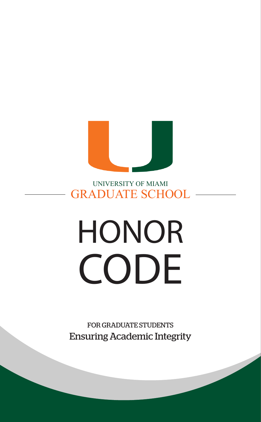

UNIVERSITY OF MIAMI GRADUATE SCHOO

# **HONOR CODE**

FOR GRADUATE STUDENTS Ensuring Academic Integrity

 $\overline{\phantom{a}}$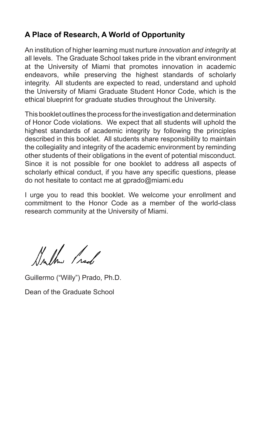# **A Place of Research, A World of Opportunity**

An institution of higher learning must nurture *innovation and integrity* at all levels. The Graduate School takes pride in the vibrant environment at the University of Miami that promotes innovation in academic endeavors, while preserving the highest standards of scholarly integrity. All students are expected to read, understand and uphold the University of Miami Graduate Student Honor Code, which is the ethical blueprint for graduate studies throughout the University.

This booklet outlines the process for the investigation and determination of Honor Code violations. We expect that all students will uphold the highest standards of academic integrity by following the principles described in this booklet. All students share responsibility to maintain the collegiality and integrity of the academic environment by reminding other students of their obligations in the event of potential misconduct. Since it is not possible for one booklet to address all aspects of scholarly ethical conduct, if you have any specific questions, please do not hesitate to contact me at gprado@miami.edu

I urge you to read this booklet. We welcome your enrollment and commitment to the Honor Code as a member of the world-class research community at the University of Miami.

Anthe frack

Guillermo ("Willy") Prado, Ph.D.

Dean of the Graduate School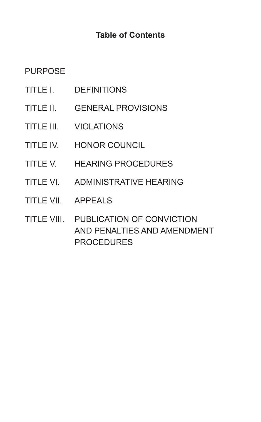# **Table of Contents**

# **PURPOSE**

- TITLE I. DEFINITIONS
- TITLE II. GENERAL PROVISIONS
- TITLE III. VIOLATIONS
- TITLE IV. HONOR COUNCIL
- TITLE V. HEARING PROCEDURES
- TITLE VI. ADMINISTRATIVE HEARING
- TITLE VII. APPEALS
- TITLE VIII. PUBLICATION OF CONVICTION AND PENALTIES AND AMENDMENT PROCEDURES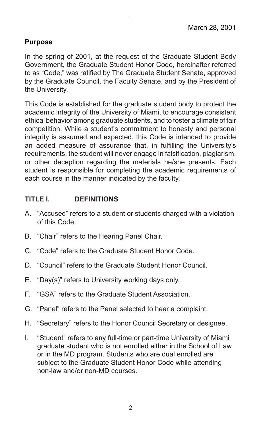#### **Purpose**

In the spring of 2001, at the request of the Graduate Student Body Government, the Graduate Student Honor Code, hereinafter referred to as "Code," was ratified by The Graduate Student Senate, approved by the Graduate Council, the Faculty Senate, and by the President of the University.

University of Miami

This Code is established for the graduate student body to protect the academic integrity of the University of Miami, to encourage consistent ethical behavior among graduate students, and to foster a climate of fair competition. While a student's commitment to honesty and personal integrity is assumed and expected, this Code is intended to provide an added measure of assurance that, in fulfilling the University's requirements, the student will never engage in falsification, plagiarism, or other deception regarding the materials he/she presents. Each student is responsible for completing the academic requirements of each course in the manner indicated by the faculty.

### **TITLE I. DEFINITIONS**

- A. "Accused" refers to a student or students charged with a violation of this Code.
- B. "Chair" refers to the Hearing Panel Chair.
- C. "Code" refers to the Graduate Student Honor Code.
- D. "Council" refers to the Graduate Student Honor Council.
- E. "Day(s)" refers to University working days only.
- F. "GSA" refers to the Graduate Student Association.
- G. "Panel" refers to the Panel selected to hear a complaint.
- H. "Secretary" refers to the Honor Council Secretary or designee.
- I. "Student" refers to any full-time or part-time University of Miami graduate student who is not enrolled either in the School of Law or in the MD program. Students who are dual enrolled are subject to the Graduate Student Honor Code while attending non-law and/or non-MD courses.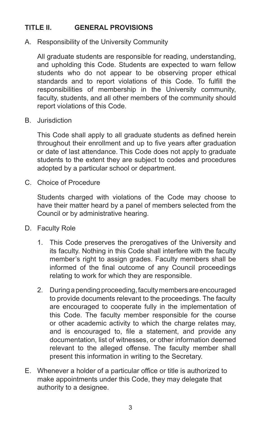## **TITLE II. GENERAL PROVISIONS**

A. Responsibility of the University Community

All graduate students are responsible for reading, understanding, and upholding this Code. Students are expected to warn fellow students who do not appear to be observing proper ethical standards and to report violations of this Code. To fulfill the responsibilities of membership in the University community, faculty, students, and all other members of the community should report violations of this Code.

B. Jurisdiction

This Code shall apply to all graduate students as defined herein throughout their enrollment and up to five years after graduation or date of last attendance. This Code does not apply to graduate students to the extent they are subject to codes and procedures adopted by a particular school or department.

C. Choice of Procedure

Students charged with violations of the Code may choose to have their matter heard by a panel of members selected from the Council or by administrative hearing.

- D. Faculty Role
	- 1. This Code preserves the prerogatives of the University and its faculty. Nothing in this Code shall interfere with the faculty member's right to assign grades. Faculty members shall be informed of the final outcome of any Council proceedings relating to work for which they are responsible.
	- 2. During a pending proceeding, faculty members are encouraged to provide documents relevant to the proceedings. The faculty are encouraged to cooperate fully in the implementation of this Code. The faculty member responsible for the course or other academic activity to which the charge relates may, and is encouraged to, file a statement, and provide any documentation, list of witnesses, or other information deemed relevant to the alleged offense. The faculty member shall present this information in writing to the Secretary.
- E. Whenever a holder of a particular office or title is authorized to make appointments under this Code, they may delegate that authority to a designee.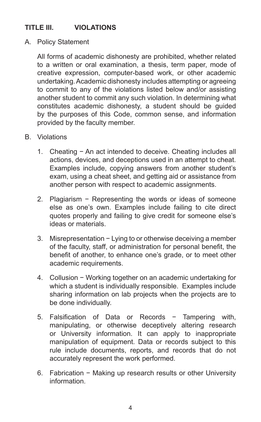## **TITLE III. VIOLATIONS**

A. Policy Statement

All forms of academic dishonesty are prohibited, whether related to a written or oral examination, a thesis, term paper, mode of creative expression, computer-based work, or other academic undertaking. Academic dishonesty includes attempting or agreeing to commit to any of the violations listed below and/or assisting another student to commit any such violation. In determining what constitutes academic dishonesty, a student should be guided by the purposes of this Code, common sense, and information provided by the faculty member.

- B. Violations
	- 1. Cheating − An act intended to deceive. Cheating includes all actions, devices, and deceptions used in an attempt to cheat. Examples include, copying answers from another student's exam, using a cheat sheet, and getting aid or assistance from another person with respect to academic assignments.
	- 2. Plagiarism − Representing the words or ideas of someone else as one's own. Examples include failing to cite direct quotes properly and failing to give credit for someone else's ideas or materials.
	- 3. Misrepresentation − Lying to or otherwise deceiving a member of the faculty, staff, or administration for personal benefit, the benefit of another, to enhance one's grade, or to meet other academic requirements.
	- 4. Collusion − Working together on an academic undertaking for which a student is individually responsible. Examples include sharing information on lab projects when the projects are to be done individually.
	- 5. Falsification of Data or Records − Tampering with, manipulating, or otherwise deceptively altering research or University information. It can apply to inappropriate manipulation of equipment. Data or records subject to this rule include documents, reports, and records that do not accurately represent the work performed.
	- 6. Fabrication − Making up research results or other University information.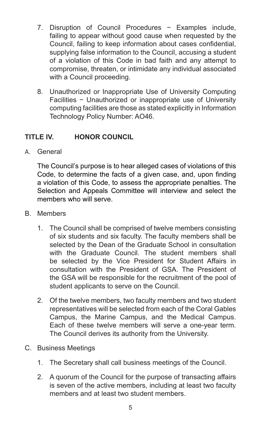- 7. Disruption of Council Procedures − Examples include, failing to appear without good cause when requested by the Council, failing to keep information about cases confidential, supplying false information to the Council, accusing a student of a violation of this Code in bad faith and any attempt to compromise, threaten, or intimidate any individual associated with a Council proceeding.
- 8. Unauthorized or Inappropriate Use of University Computing Facilities − Unauthorized or inappropriate use of University computing facilities are those as stated explicitly in Information Technology Policy Number: AO46.

## **TITLE IV. HONOR COUNCIL**

A. General

The Council's purpose is to hear alleged cases of violations of this Code, to determine the facts of a given case, and, upon finding a violation of this Code, to assess the appropriate penalties. The Selection and Appeals Committee will interview and select the members who will serve.

- B. Members
	- 1. The Council shall be comprised of twelve members consisting of six students and six faculty. The faculty members shall be selected by the Dean of the Graduate School in consultation with the Graduate Council. The student members shall be selected by the Vice President for Student Affairs in consultation with the President of GSA. The President of the GSA will be responsible for the recruitment of the pool of student applicants to serve on the Council.
	- 2. Of the twelve members, two faculty members and two student representatives will be selected from each of the Coral Gables Campus, the Marine Campus, and the Medical Campus. Each of these twelve members will serve a one-year term. The Council derives its authority from the University.
- C. Business Meetings
	- 1. The Secretary shall call business meetings of the Council.
	- 2. A quorum of the Council for the purpose of transacting affairs is seven of the active members, including at least two faculty members and at least two student members.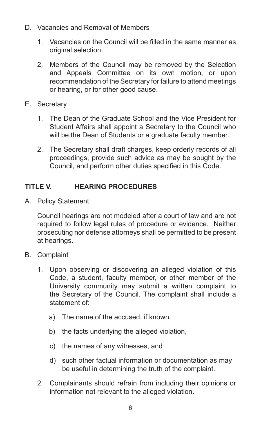- D. Vacancies and Removal of Members
	- 1. Vacancies on the Council will be filled in the same manner as original selection.
	- 2. Members of the Council may be removed by the Selection and Appeals Committee on its own motion, or upon recommendation of the Secretary for failure to attend meetings or hearing, or for other good cause.
- E. Secretary
	- 1. The Dean of the Graduate School and the Vice President for Student Affairs shall appoint a Secretary to the Council who will be the Dean of Students or a graduate faculty member.
	- 2. The Secretary shall draft charges, keep orderly records of all proceedings, provide such advice as may be sought by the Council, and perform other duties specified in this Code.

## **TITLE V. HEARING PROCEDURES**

A. Policy Statement

Council hearings are not modeled after a court of law and are not required to follow legal rules of procedure or evidence. Neither prosecuting nor defense attorneys shall be permitted to be present at hearings.

- B. Complaint
	- 1. Upon observing or discovering an alleged violation of this Code, a student, faculty member, or other member of the University community may submit a written complaint to the Secretary of the Council. The complaint shall include a statement of:
		- a) The name of the accused, if known,
		- b) the facts underlying the alleged violation,
		- c) the names of any witnesses, and
		- d) such other factual information or documentation as may be useful in determining the truth of the complaint.
	- 2. Complainants should refrain from including their opinions or information not relevant to the alleged violation.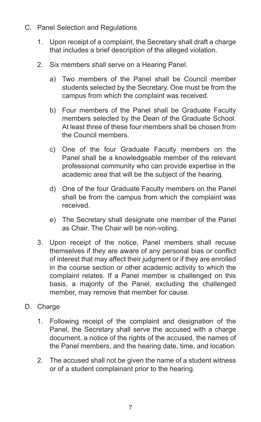- C. Panel Selection and Regulations
	- 1. Upon receipt of a complaint, the Secretary shall draft a charge that includes a brief description of the alleged violation.
	- 2. Six members shall serve on a Hearing Panel.
		- a) Two members of the Panel shall be Council member students selected by the Secretary. One must be from the campus from which the complaint was received.
		- b) Four members of the Panel shall be Graduate Faculty members selected by the Dean of the Graduate School. At least three of these four members shall be chosen from the Council members.
		- c) One of the four Graduate Faculty members on the Panel shall be a knowledgeable member of the relevant professional community who can provide expertise in the academic area that will be the subject of the hearing.
		- d) One of the four Graduate Faculty members on the Panel shall be from the campus from which the complaint was received.
		- e) The Secretary shall designate one member of the Panel as Chair. The Chair will be non-voting.
	- 3. Upon receipt of the notice, Panel members shall recuse themselves if they are aware of any personal bias or conflict of interest that may affect their judgment or if they are enrolled in the course section or other academic activity to which the complaint relates. If a Panel member is challenged on this basis, a majority of the Panel, excluding the challenged member, may remove that member for cause.
- D. Charge
	- 1. Following receipt of the complaint and designation of the Panel, the Secretary shall serve the accused with a charge document, a notice of the rights of the accused, the names of the Panel members, and the hearing date, time, and location.
	- 2. The accused shall not be given the name of a student witness or of a student complainant prior to the hearing.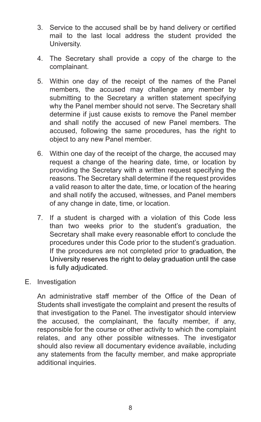3. Service to the accused shall be by hand delivery or certified mail to the last local address the student provided the University.

University of Miami

- 4. The Secretary shall provide a copy of the charge to the complainant.
- 5. Within one day of the receipt of the names of the Panel members, the accused may challenge any member by submitting to the Secretary a written statement specifying why the Panel member should not serve. The Secretary shall determine if just cause exists to remove the Panel member and shall notify the accused of new Panel members. The accused, following the same procedures, has the right to object to any new Panel member.
- 6. Within one day of the receipt of the charge, the accused may request a change of the hearing date, time, or location by providing the Secretary with a written request specifying the reasons. The Secretary shall determine if the request provides a valid reason to alter the date, time, or location of the hearing and shall notify the accused, witnesses, and Panel members of any change in date, time, or location.
- 7. If a student is charged with a violation of this Code less than two weeks prior to the student's graduation, the Secretary shall make every reasonable effort to conclude the procedures under this Code prior to the student's graduation. If the procedures are not completed prior to graduation, the University reserves the right to delay graduation until the case is fully adjudicated.
- E. Investigation

An administrative staff member of the Office of the Dean of Students shall investigate the complaint and present the results of that investigation to the Panel. The investigator should interview the accused, the complainant, the faculty member, if any, responsible for the course or other activity to which the complaint relates, and any other possible witnesses. The investigator should also review all documentary evidence available, including any statements from the faculty member, and make appropriate additional inquiries.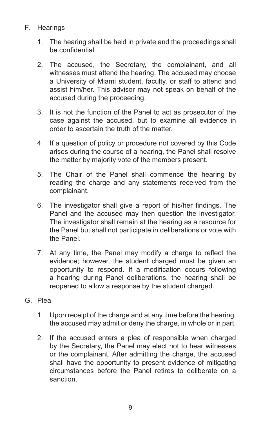- F. Hearings
	- 1. The hearing shall be held in private and the proceedings shall be confidential.
	- 2. The accused, the Secretary, the complainant, and all witnesses must attend the hearing. The accused may choose a University of Miami student, faculty, or staff to attend and assist him/her. This advisor may not speak on behalf of the accused during the proceeding.
	- 3. It is not the function of the Panel to act as prosecutor of the case against the accused, but to examine all evidence in order to ascertain the truth of the matter.
	- 4. If a question of policy or procedure not covered by this Code arises during the course of a hearing, the Panel shall resolve the matter by majority vote of the members present.
	- 5. The Chair of the Panel shall commence the hearing by reading the charge and any statements received from the complainant.
	- 6. The investigator shall give a report of his/her findings. The Panel and the accused may then question the investigator. The investigator shall remain at the hearing as a resource for the Panel but shall not participate in deliberations or vote with the Panel.
	- 7. At any time, the Panel may modify a charge to reflect the evidence; however, the student charged must be given an opportunity to respond. If a modification occurs following a hearing during Panel deliberations, the hearing shall be reopened to allow a response by the student charged.
- G. Plea
	- 1. Upon receipt of the charge and at any time before the hearing, the accused may admit or deny the charge, in whole or in part.
	- 2. If the accused enters a plea of responsible when charged by the Secretary, the Panel may elect not to hear witnesses or the complainant. After admitting the charge, the accused shall have the opportunity to present evidence of mitigating circumstances before the Panel retires to deliberate on a sanction.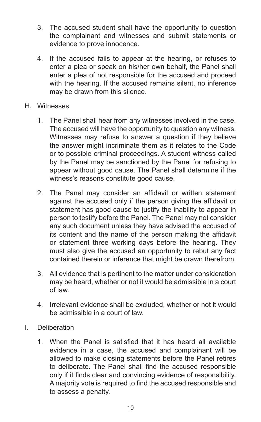- 3. The accused student shall have the opportunity to question the complainant and witnesses and submit statements or evidence to prove innocence.
- 4. If the accused fails to appear at the hearing, or refuses to enter a plea or speak on his/her own behalf, the Panel shall enter a plea of not responsible for the accused and proceed with the hearing. If the accused remains silent, no inference may be drawn from this silence.
- H. Witnesses
	- 1. The Panel shall hear from any witnesses involved in the case. The accused will have the opportunity to question any witness. Witnesses may refuse to answer a question if they believe the answer might incriminate them as it relates to the Code or to possible criminal proceedings. A student witness called by the Panel may be sanctioned by the Panel for refusing to appear without good cause. The Panel shall determine if the witness's reasons constitute good cause.
	- 2. The Panel may consider an affidavit or written statement against the accused only if the person giving the affidavit or statement has good cause to justify the inability to appear in person to testify before the Panel. The Panel may not consider any such document unless they have advised the accused of its content and the name of the person making the affidavit or statement three working days before the hearing. They must also give the accused an opportunity to rebut any fact contained therein or inference that might be drawn therefrom.
	- 3. All evidence that is pertinent to the matter under consideration may be heard, whether or not it would be admissible in a court of law.
	- 4. Irrelevant evidence shall be excluded, whether or not it would be admissible in a court of law.
- I. Deliberation
	- 1. When the Panel is satisfied that it has heard all available evidence in a case, the accused and complainant will be allowed to make closing statements before the Panel retires to deliberate. The Panel shall find the accused responsible only if it finds clear and convincing evidence of responsibility. A majority vote is required to find the accused responsible and to assess a penalty.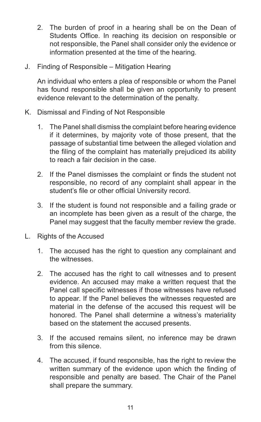- 2. The burden of proof in a hearing shall be on the Dean of Students Office. In reaching its decision on responsible or not responsible, the Panel shall consider only the evidence or information presented at the time of the hearing.
- J. Finding of Responsible Mitigation Hearing

An individual who enters a plea of responsible or whom the Panel has found responsible shall be given an opportunity to present evidence relevant to the determination of the penalty.

- K. Dismissal and Finding of Not Responsible
	- 1. The Panel shall dismiss the complaint before hearing evidence if it determines, by majority vote of those present, that the passage of substantial time between the alleged violation and the filing of the complaint has materially prejudiced its ability to reach a fair decision in the case.
	- 2. If the Panel dismisses the complaint or finds the student not responsible, no record of any complaint shall appear in the student's file or other official University record.
	- 3. If the student is found not responsible and a failing grade or an incomplete has been given as a result of the charge, the Panel may suggest that the faculty member review the grade.
- L. Rights of the Accused
	- 1. The accused has the right to question any complainant and the witnesses.
	- 2. The accused has the right to call witnesses and to present evidence. An accused may make a written request that the Panel call specific witnesses if those witnesses have refused to appear. If the Panel believes the witnesses requested are material in the defense of the accused this request will be honored. The Panel shall determine a witness's materiality based on the statement the accused presents.
	- 3. If the accused remains silent, no inference may be drawn from this silence.
	- 4. The accused, if found responsible, has the right to review the written summary of the evidence upon which the finding of responsible and penalty are based. The Chair of the Panel shall prepare the summary.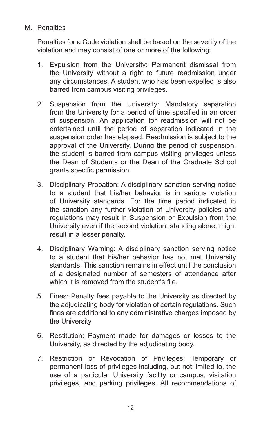#### M. Penalties

Penalties for a Code violation shall be based on the severity of the violation and may consist of one or more of the following:

- 1. Expulsion from the University: Permanent dismissal from the University without a right to future readmission under any circumstances. A student who has been expelled is also barred from campus visiting privileges.
- 2. Suspension from the University: Mandatory separation from the University for a period of time specified in an order of suspension. An application for readmission will not be entertained until the period of separation indicated in the suspension order has elapsed. Readmission is subject to the approval of the University. During the period of suspension, the student is barred from campus visiting privileges unless the Dean of Students or the Dean of the Graduate School grants specific permission.
- 3. Disciplinary Probation: A disciplinary sanction serving notice to a student that his/her behavior is in serious violation of University standards. For the time period indicated in the sanction any further violation of University policies and regulations may result in Suspension or Expulsion from the University even if the second violation, standing alone, might result in a lesser penalty.
- 4. Disciplinary Warning: A disciplinary sanction serving notice to a student that his/her behavior has not met University standards. This sanction remains in effect until the conclusion of a designated number of semesters of attendance after which it is removed from the student's file.
- 5. Fines: Penalty fees payable to the University as directed by the adjudicating body for violation of certain regulations. Such fines are additional to any administrative charges imposed by the University.
- 6. Restitution: Payment made for damages or losses to the University, as directed by the adjudicating body.
- 7. Restriction or Revocation of Privileges: Temporary or permanent loss of privileges including, but not limited to, the use of a particular University facility or campus, visitation privileges, and parking privileges. All recommendations of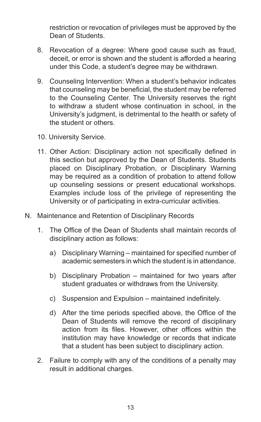restriction or revocation of privileges must be approved by the Dean of Students.

- 8. Revocation of a degree: Where good cause such as fraud, deceit, or error is shown and the student is afforded a hearing under this Code, a student's degree may be withdrawn.
- 9. Counseling Intervention: When a student's behavior indicates that counseling may be beneficial, the student may be referred to the Counseling Center. The University reserves the right to withdraw a student whose continuation in school, in the University's judgment, is detrimental to the health or safety of the student or others.
- 10. University Service.
- 11. Other Action: Disciplinary action not specifically defined in this section but approved by the Dean of Students. Students placed on Disciplinary Probation, or Disciplinary Warning may be required as a condition of probation to attend follow up counseling sessions or present educational workshops. Examples include loss of the privilege of representing the University or of participating in extra-curricular activities.
- N. Maintenance and Retention of Disciplinary Records
	- 1. The Office of the Dean of Students shall maintain records of disciplinary action as follows:
		- a) Disciplinary Warning maintained for specified number of academic semesters in which the student is in attendance.
		- b) Disciplinary Probation maintained for two years after student graduates or withdraws from the University.
		- c) Suspension and Expulsion maintained indefinitely.
		- d) After the time periods specified above, the Office of the Dean of Students will remove the record of disciplinary action from its files. However, other offices within the institution may have knowledge or records that indicate that a student has been subject to disciplinary action.
	- 2. Failure to comply with any of the conditions of a penalty may result in additional charges.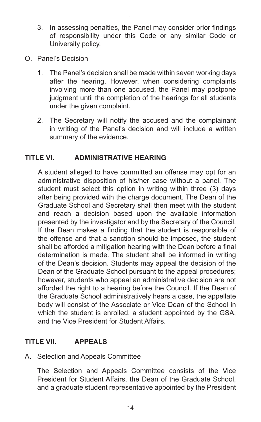3. In assessing penalties, the Panel may consider prior findings of responsibility under this Code or any similar Code or University policy.

University of Miami

- O. Panel's Decision
	- 1. The Panel's decision shall be made within seven working days after the hearing. However, when considering complaints involving more than one accused, the Panel may postpone judgment until the completion of the hearings for all students under the given complaint.
	- 2. The Secretary will notify the accused and the complainant in writing of the Panel's decision and will include a written summary of the evidence.

#### **TITLE VI. ADMINISTRATIVE HEARING**

A student alleged to have committed an offense may opt for an administrative disposition of his/her case without a panel. The student must select this option in writing within three (3) days after being provided with the charge document. The Dean of the Graduate School and Secretary shall then meet with the student and reach a decision based upon the available information presented by the investigator and by the Secretary of the Council. If the Dean makes a finding that the student is responsible of the offense and that a sanction should be imposed, the student shall be afforded a mitigation hearing with the Dean before a final determination is made. The student shall be informed in writing of the Dean's decision. Students may appeal the decision of the Dean of the Graduate School pursuant to the appeal procedures; however, students who appeal an administrative decision are not afforded the right to a hearing before the Council. If the Dean of the Graduate School administratively hears a case, the appellate body will consist of the Associate or Vice Dean of the School in which the student is enrolled, a student appointed by the GSA, and the Vice President for Student Affairs.

### **TITLE VII. APPEALS**

A. Selection and Appeals Committee

The Selection and Appeals Committee consists of the Vice President for Student Affairs, the Dean of the Graduate School, and a graduate student representative appointed by the President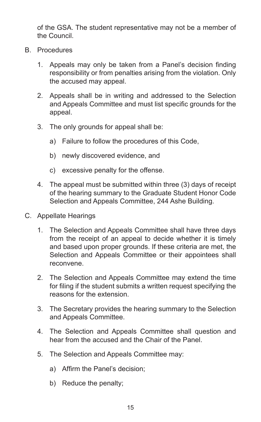of the GSA. The student representative may not be a member of the Council.

- B. Procedures
	- 1. Appeals may only be taken from a Panel's decision finding responsibility or from penalties arising from the violation. Only the accused may appeal.
	- 2. Appeals shall be in writing and addressed to the Selection and Appeals Committee and must list specific grounds for the appeal.
	- 3. The only grounds for appeal shall be:
		- a) Failure to follow the procedures of this Code,
		- b) newly discovered evidence, and
		- c) excessive penalty for the offense.
	- 4. The appeal must be submitted within three (3) days of receipt of the hearing summary to the Graduate Student Honor Code Selection and Appeals Committee, 244 Ashe Building.
- C. Appellate Hearings
	- 1. The Selection and Appeals Committee shall have three days from the receipt of an appeal to decide whether it is timely and based upon proper grounds. If these criteria are met, the Selection and Appeals Committee or their appointees shall reconvene.
	- 2. The Selection and Appeals Committee may extend the time for filing if the student submits a written request specifying the reasons for the extension.
	- 3. The Secretary provides the hearing summary to the Selection and Appeals Committee.
	- 4. The Selection and Appeals Committee shall question and hear from the accused and the Chair of the Panel.
	- 5. The Selection and Appeals Committee may:
		- a) Affirm the Panel's decision;
		- b) Reduce the penalty;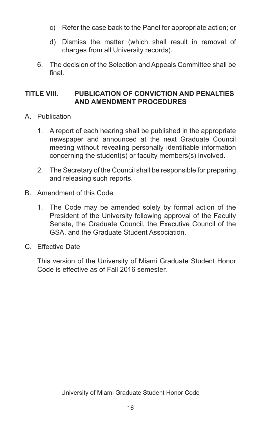c) Refer the case back to the Panel for appropriate action; or

University of Miami

- d) Dismiss the matter (which shall result in removal of charges from all University records).
- 6. The decision of the Selection and Appeals Committee shall be final.

#### **TITLE VIII. PUBLICATION OF CONVICTION AND PENALTIES AND AMENDMENT PROCEDURES**

- A. Publication
	- 1. A report of each hearing shall be published in the appropriate newspaper and announced at the next Graduate Council meeting without revealing personally identifiable information concerning the student(s) or faculty members(s) involved.
	- 2. The Secretary of the Council shall be responsible for preparing and releasing such reports.
- B. Amendment of this Code
	- 1. The Code may be amended solely by formal action of the President of the University following approval of the Faculty Senate, the Graduate Council, the Executive Council of the GSA, and the Graduate Student Association.
- C. Effective Date

This version of the University of Miami Graduate Student Honor Code is effective as of Fall 2016 semester.